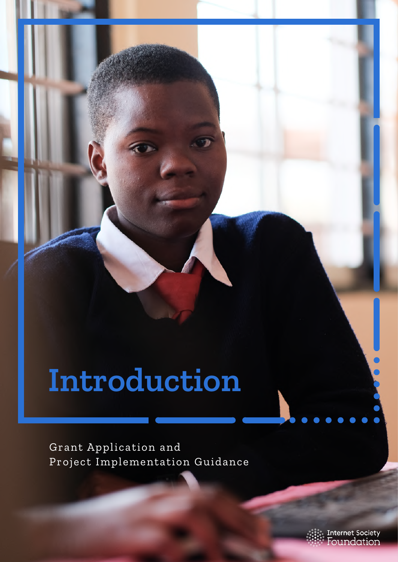# **Introduction**

Grant Application and Project Implementation Guidance  $\bullet\bullet\bullet$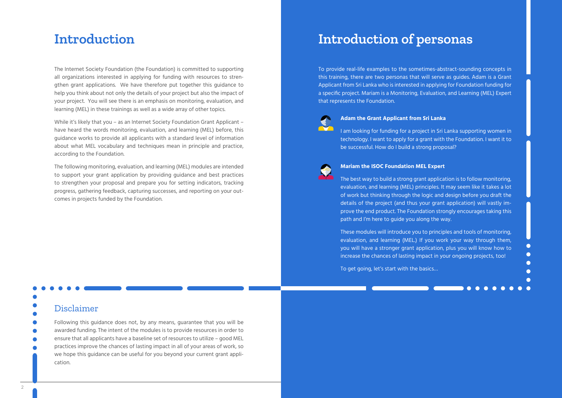The Internet Society Foundation (the Foundation) is committed to supporting all organizations interested in applying for funding with resources to strengthen grant applications. We have therefore put together this guidance to help you think about not only the details of your project but also the impact of your project. You will see there is an emphasis on monitoring, evaluation, and learning (MEL) in these trainings as well as a wide array of other topics.

While it's likely that you – as an Internet Society Foundation Grant Applicant – have heard the words monitoring, evaluation, and learning (MEL) before, this guidance works to provide all applicants with a standard level of information about what MEL vocabulary and techniques mean in principle and practice, according to the Foundation.

The following monitoring, evaluation, and learning (MEL) modules are intended to support your grant application by providing guidance and best practices to strengthen your proposal and prepare you for setting indicators, tracking progress, gathering feedback, capturing successes, and reporting on your outcomes in projects funded by the Foundation.

#### **Adam the Grant Applicant from Sri Lanka**

I am looking for funding for a project in Sri Lanka supporting women in technology. I want to apply for a grant with the Foundation. I want it to be successful. How do I build a strong proposal?



# **Introduction of personas**

#### Disclaimer

Following this guidance does not, by any means, guarantee that you will be awarded funding. The intent of the modules is to provide resources in order to ensure that all applicants have a baseline set of resources to utilize – good MEL practices improve the chances of lasting impact in all of your areas of work, so we hope this guidance can be useful for you beyond your current grant application.

#### **Mariam the ISOC Foundation MEL Expert**

The best way to build a strong grant application is to follow monitoring, evaluation, and learning (MEL) principles. It may seem like it takes a lot of work but thinking through the logic and design before you draft the details of the project (and thus your grant application) will vastly improve the end product. The Foundation strongly encourages taking this path and I'm here to guide you along the way.

These modules will introduce you to principles and tools of monitoring, evaluation, and learning (MEL.) If you work your way through them, you will have a stronger grant application, plus you will know how to increase the chances of lasting impact in your ongoing projects, too!

To get going, let's start with the basics…

## **Introduction**

To provide real-life examples to the sometimes-abstract-sounding concepts in this training, there are two personas that will serve as guides. Adam is a Grant Applicant from Sri Lanka who is interested in applying for Foundation funding for a specific project. Mariam is a Monitoring, Evaluation, and Learning (MEL) Expert that represents the Foundation.

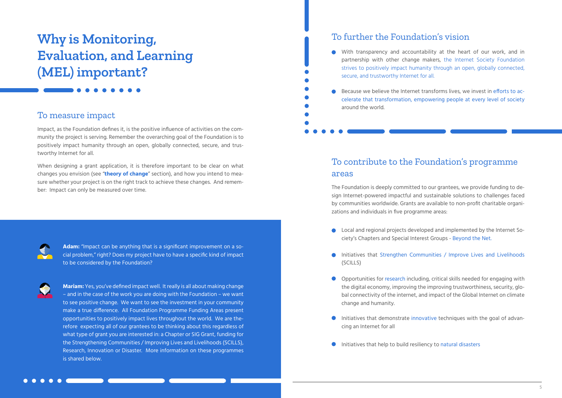# **Why is Monitoring, Evaluation, and Learning (MEL) important?**

### To measure impact

Impact, as the Foundation defines it, is the positive influence of activities on the community the project is serving. Remember the overarching goal of the Foundation is to positively impact humanity through an open, globally connected, secure, and trustworthy Internet for all.

When designing a grant application, it is therefore important to be clear on what changes you envision (see "**[theory of change](https://www.isocfoundation.org/resources/grant-application-guidance/module-1-design-your-project/)**" section), and how you intend to measure whether your project is on the right track to achieve these changes. And remember: Impact can only be measured over time.



**Adam:** "Impact can be anything that is a significant improvement on a social problem," right? Does my project have to have a specific kind of impact to be considered by the Foundation?

**Mariam:** Yes, you've defined impact well. It really is all about making change – and in the case of the work you are doing with the Foundation – we want to see positive change. We want to see the investment in your community make a true difference. All Foundation Programme Funding Areas present opportunities to positively impact lives throughout the world. We are therefore expecting all of our grantees to be thinking about this regardless of what type of grant you are interested in: a Chapter or SIG Grant, funding for the Strengthening Communities / Improving Lives and Livelihoods (SCILLS), Research, Innovation or Disaster. More information on these programmes is shared below.

- ciety's Chapters and Special Interest Groups Beyond the Net.
- $\bullet$ (SCILLS)
- change and humanity.
- cing an Internet for all
- Initiatives that help to build resiliency to natural disasters  $\bullet$



### To contribute to the Foundation's programme areas

The Foundation is deeply committed to our grantees, we provide funding to design Internet-powered impactful and sustainable solutions to challenges faced by communities worldwide. Grants are available to non-profit charitable organizations and individuals in five programme areas:

With transparency and accountability at the heart of our work, and in partnership with other change makers, the Internet Society Foundation strives to positively impact humanity through an open, globally connected,

secure, and trustworthy Internet for all. around the world.

Because we believe the Internet transforms lives, we invest in efforts to accelerate that transformation, empowering people at every level of society

● Local and regional projects developed and implemented by the Internet So-

Initiatives that Strengthen Communities / Improve Lives and Livelihoods

Opportunities for research including, critical skills needed for engaging with the digital economy, improving the improving trustworthiness, security, global connectivity of the internet, and impact of the Global Internet on climate

Initiatives that demonstrate innovative techniques with the goal of advan-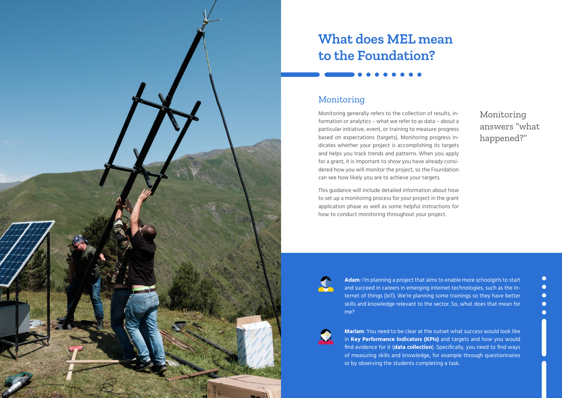

# **What does MEL mean to the Foundation?**

### Monitoring

Monitoring generally refers to the collection of results, information or analytics – what we refer to as data – about a particular initiative, event, or training to measure progress based on expectations (targets). Monitoring progress indicates whether your project is accomplishing its targets and helps you track trends and patterns. When you apply for a grant, it is important to show you have already considered how you will monitor the project, so the Foundation can see how likely you are to achieve your targets.

This guidance will include detailed information about how to set up a monitoring process for your project in the grant application phase as well as some helpful instructions for how to conduct monitoring throughout your project.



**Adam**: I'm planning a project that aims to enable more schoolgirls to start and succeed in careers in emerging internet technologies, such as the Internet of things (IoT). We're planning some trainings so they have better skills and knowledge relevant to the sector. So, what does that mean for me?



**Mariam**: You need to be clear at the outset what success would look like in **[Key Performance Indicators \(KPIs\)](https://www.isocfoundation.org/resources/grant-application-guidance/module-2-define-measurements-and-costs/)** and targets and how you would find evidence for it (**[data collection](https://www.isocfoundation.org/isoc-foundation_grant-application-guidance_annex_8_data-collection-techniques/)**). Specifically, you need to find ways of measuring skills and knowledge, for example through questionnaires or by observing the students completing a task.

Monitoring answers "what happened?"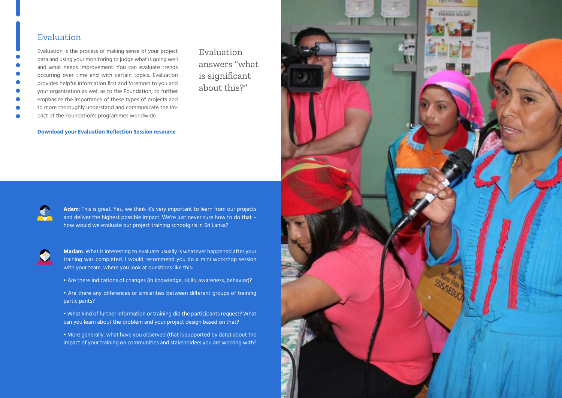**Adam**: This is great. Yes, we think it's very important to learn from our projects and deliver the highest possible impact. We're just never sure how to do that – how would we evaluate our project training schoolgirls in Sri Lanka?



**Mariam**: What is interesting to evaluate usually is whatever happened after your training was completed. I would recommend you do a mini workshop session with your team, where you look at questions like this:

- Are there indications of changes (in knowledge, skills, awareness, behavior)?
- Are there any differences or similarities between different groups of training participants?
- What kind of further information or training did the participants request? What can you learn about the problem and your project design based on that?
- More generally, what have you observed (that is supported by data) about the impact of your training on communities and stakeholders you are working with?

#### Evaluation

Evaluation is the process of making sense of your project data and using your monitoring to judge what is going well and what needs improvement. You can evaluate trends occurring over time and with certain topics. Evaluation provides helpful information first and foremost to you and your organization as well as to the Foundation, to further emphasize the importance of these types of projects and to more thoroughly understand and communicate the impact of the Foundation's programmes worldwide.





**[Download your Evaluation Reflection Session resource](https://www.isocfoundation.org/wp-content/uploads/2020/03/ISOC-Foundation_Grant-Application-Guidance_Annex_1_Reflection-session_Evaluation-Prompts.pdf)**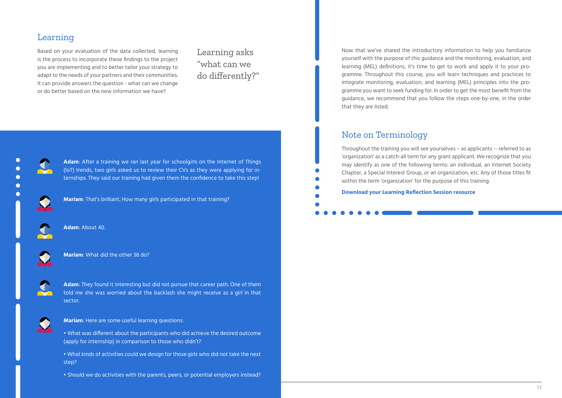### Learning

Based on your evaluation of the data collected, learning is the process to incorporate these findings to the project you are implementing and to better tailor your strategy to adapt to the needs of your partners and their communities. It can provide answers the question - what can we change or do better based on the new information we have?

Learning asks "what can we do differently?"



**Adam**: After a training we ran last year for schoolgirls on the Internet of Things (IoT) trends, two girls asked us to review their CVs as they were applying for internships. They said our training had given them the confidence to take this step!

**Mariam**: That's brilliant. How many girls participated in that training?



**Mariam**: What did the other 38 do?



**Mariam**: Here are some useful learning questions:

- What was different about the participants who did achieve the desired outcome (apply for internship) in comparison to those who didn't?
- What kinds of activities could we design for those girls who did not take the next step?
- Should we do activities with the parents, peers, or potential employers instead?

**Adam**: About 40.



**Adam**: They found it interesting but did not pursue that career path. One of them told me she was worried about the backlash she might receive as a girl in that sector.



Now that we've shared the introductory information to help you familiarize yourself with the purpose of this guidance and the monitoring, evaluation, and learning (MEL) definitions, it's time to get to work and apply it to your programme. Throughout this course, you will learn techniques and practices to integrate monitoring, evaluation, and learning (MEL) principles into the programme you want to seek funding for. In order to get the most benefit from the guidance, we recommend that you follow the steps one-by-one, in the order that they are listed.

### Note on Terminology

Throughout the training you will see yourselves – as applicants -- referred to as 'organization' as a catch-all term for any grant applicant. We recognize that you may identify as one of the following terms: an individual, an Internet Society Chapter, a Special Interest Group, or an organization, etc. Any of those titles fit within the term 'organization' for the purpose of this training. **[Download your Learning Reflection Session resource](https://www.isocfoundation.org/wp-content/uploads/2020/03/ISOC-Foundation_Grant-Application-Guidance_Annex_2_Reflection-session_Learning-Prompts.pdf)**